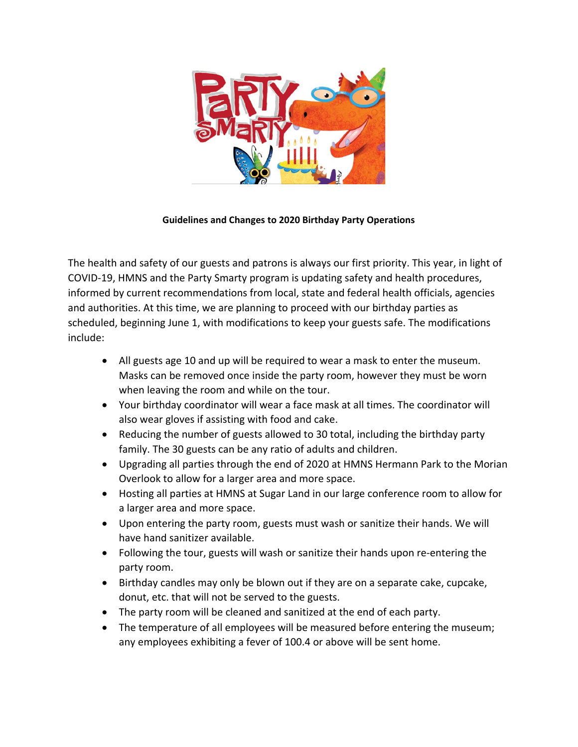

## **Guidelines and Changes to 2020 Birthday Party Operations**

The health and safety of our guests and patrons is always our first priority. This year, in light of COVID-19, HMNS and the Party Smarty program is updating safety and health procedures, informed by current recommendations from local, state and federal health officials, agencies and authorities. At this time, we are planning to proceed with our birthday parties as scheduled, beginning June 1, with modifications to keep your guests safe. The modifications include:

- All guests age 10 and up will be required to wear a mask to enter the museum. Masks can be removed once inside the party room, however they must be worn when leaving the room and while on the tour.
- Your birthday coordinator will wear a face mask at all times. The coordinator will also wear gloves if assisting with food and cake.
- Reducing the number of guests allowed to 30 total, including the birthday party family. The 30 guests can be any ratio of adults and children.
- Upgrading all parties through the end of 2020 at HMNS Hermann Park to the Morian Overlook to allow for a larger area and more space.
- Hosting all parties at HMNS at Sugar Land in our large conference room to allow for a larger area and more space.
- Upon entering the party room, guests must wash or sanitize their hands. We will have hand sanitizer available.
- Following the tour, guests will wash or sanitize their hands upon re-entering the party room.
- Birthday candles may only be blown out if they are on a separate cake, cupcake, donut, etc. that will not be served to the guests.
- The party room will be cleaned and sanitized at the end of each party.
- The temperature of all employees will be measured before entering the museum; any employees exhibiting a fever of 100.4 or above will be sent home.